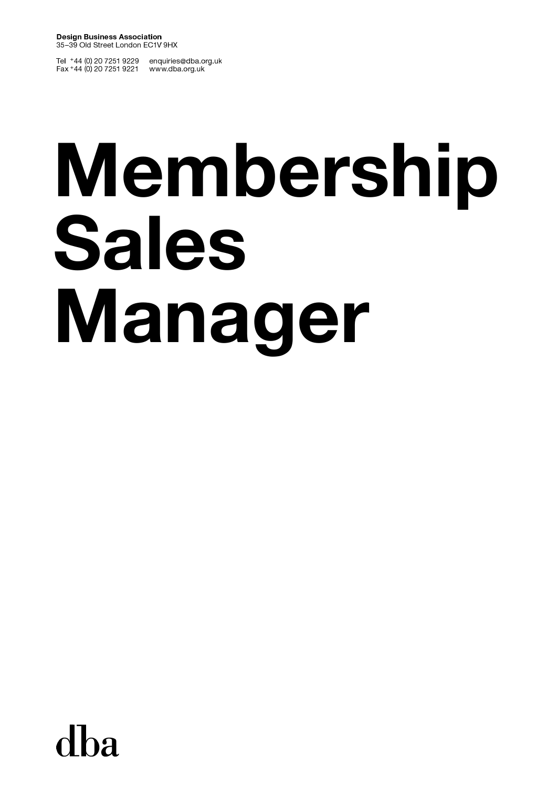Tel +44 (0) 20 7251 9229 enquiries@dba.org.uk<br>Fax +44 (0) 20 7251 9221 www.dba.org.uk

# Membership **Sales** Manager

dba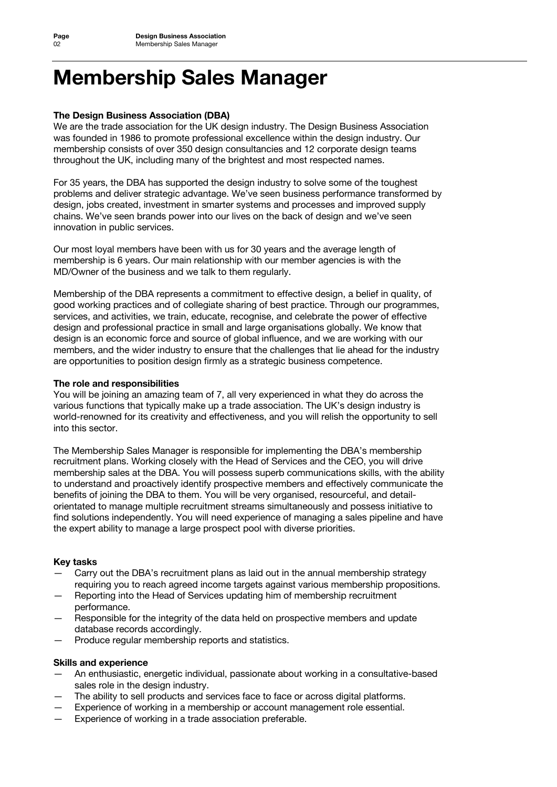# **Membership Sales Manager**

### **The Design Business Association (DBA)**

We are the trade association for the UK design industry. The Design Business Association was founded in 1986 to promote professional excellence within the design industry. Our membership consists of over 350 design consultancies and 12 corporate design teams throughout the UK, including many of the brightest and most respected names.

For 35 years, the DBA has supported the design industry to solve some of the toughest problems and deliver strategic advantage. We've seen business performance transformed by design, jobs created, investment in smarter systems and processes and improved supply chains. We've seen brands power into our lives on the back of design and we've seen innovation in public services.

Our most loyal members have been with us for 30 years and the average length of membership is 6 years. Our main relationship with our member agencies is with the MD/Owner of the business and we talk to them regularly.

Membership of the DBA represents a commitment to effective design, a belief in quality, of good working practices and of collegiate sharing of best practice. Through our programmes, services, and activities, we train, educate, recognise, and celebrate the power of effective design and professional practice in small and large organisations globally. We know that design is an economic force and source of global influence, and we are working with our members, and the wider industry to ensure that the challenges that lie ahead for the industry are opportunities to position design firmly as a strategic business competence.

### **The role and responsibilities**

You will be joining an amazing team of 7, all very experienced in what they do across the various functions that typically make up a trade association. The UK's design industry is world-renowned for its creativity and effectiveness, and you will relish the opportunity to sell into this sector.

The Membership Sales Manager is responsible for implementing the DBA's membership recruitment plans. Working closely with the Head of Services and the CEO, you will drive membership sales at the DBA. You will possess superb communications skills, with the ability to understand and proactively identify prospective members and effectively communicate the benefits of joining the DBA to them. You will be very organised, resourceful, and detailorientated to manage multiple recruitment streams simultaneously and possess initiative to find solutions independently. You will need experience of managing a sales pipeline and have the expert ability to manage a large prospect pool with diverse priorities.

# **Key tasks**

- Carry out the DBA's recruitment plans as laid out in the annual membership strategy requiring you to reach agreed income targets against various membership propositions.
- Reporting into the Head of Services updating him of membership recruitment performance.
- Responsible for the integrity of the data held on prospective members and update database records accordingly.
- Produce regular membership reports and statistics.

### **Skills and experience**

- An enthusiastic, energetic individual, passionate about working in a consultative-based sales role in the design industry.
- The ability to sell products and services face to face or across digital platforms.
- Experience of working in a membership or account management role essential.
- Experience of working in a trade association preferable.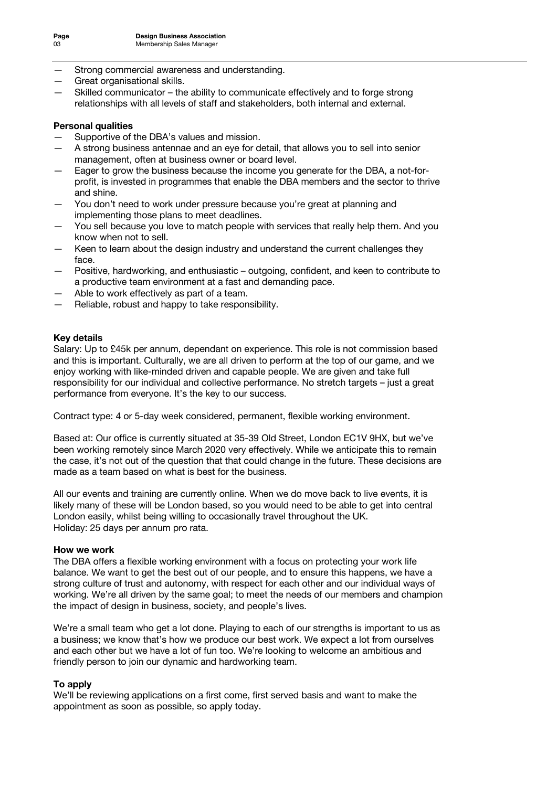- Strong commercial awareness and understanding.
- Great organisational skills.
- Skilled communicator the ability to communicate effectively and to forge strong relationships with all levels of staff and stakeholders, both internal and external.

### **Personal qualities**

- Supportive of the DBA's values and mission.
- A strong business antennae and an eye for detail, that allows you to sell into senior management, often at business owner or board level.
- Eager to grow the business because the income you generate for the DBA, a not-forprofit, is invested in programmes that enable the DBA members and the sector to thrive and shine.
- You don't need to work under pressure because you're great at planning and implementing those plans to meet deadlines.
- You sell because you love to match people with services that really help them. And you know when not to sell.
- Keen to learn about the design industry and understand the current challenges they face.
- Positive, hardworking, and enthusiastic outgoing, confident, and keen to contribute to a productive team environment at a fast and demanding pace.
- Able to work effectively as part of a team.
- Reliable, robust and happy to take responsibility.

### **Key details**

Salary: Up to £45k per annum, dependant on experience. This role is not commission based and this is important. Culturally, we are all driven to perform at the top of our game, and we enjoy working with like-minded driven and capable people. We are given and take full responsibility for our individual and collective performance. No stretch targets – just a great performance from everyone. It's the key to our success.

Contract type: 4 or 5-day week considered, permanent, flexible working environment.

Based at: Our office is currently situated at 35-39 Old Street, London EC1V 9HX, but we've been working remotely since March 2020 very effectively. While we anticipate this to remain the case, it's not out of the question that that could change in the future. These decisions are made as a team based on what is best for the business.

All our events and training are currently online. When we do move back to live events, it is likely many of these will be London based, so you would need to be able to get into central London easily, whilst being willing to occasionally travel throughout the UK. Holiday: 25 days per annum pro rata.

### **How we work**

The DBA offers a flexible working environment with a focus on protecting your work life balance. We want to get the best out of our people, and to ensure this happens, we have a strong culture of trust and autonomy, with respect for each other and our individual ways of working. We're all driven by the same goal; to meet the needs of our members and champion the impact of design in business, society, and people's lives.

We're a small team who get a lot done. Playing to each of our strengths is important to us as a business; we know that's how we produce our best work. We expect a lot from ourselves and each other but we have a lot of fun too. We're looking to welcome an ambitious and friendly person to join our dynamic and hardworking team.

### **To apply**

We'll be reviewing applications on a first come, first served basis and want to make the appointment as soon as possible, so apply today.